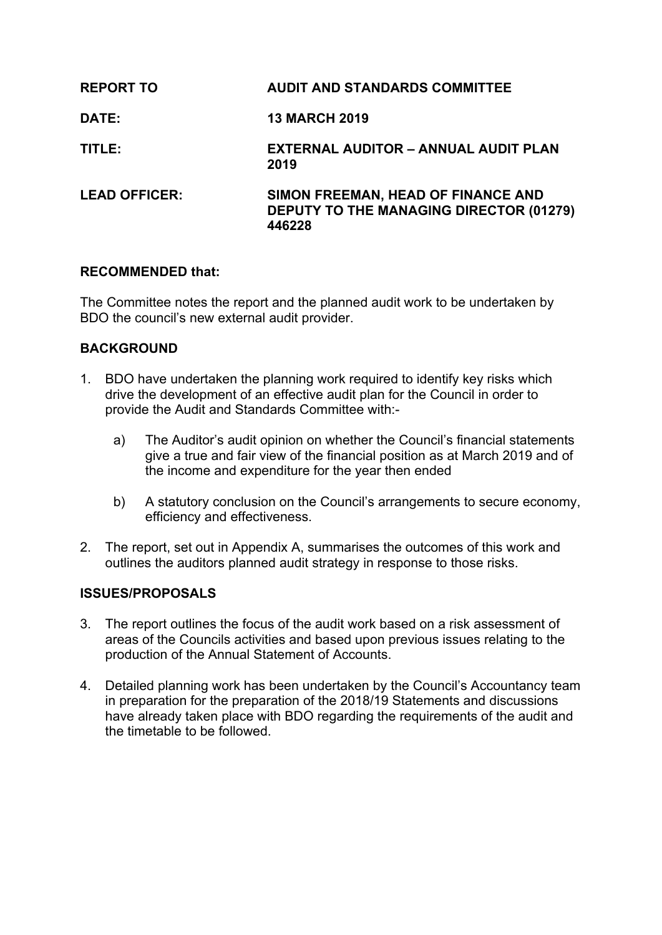| <b>REPORT TO</b>     | <b>AUDIT AND STANDARDS COMMITTEE</b>                                                           |
|----------------------|------------------------------------------------------------------------------------------------|
| <b>DATE:</b>         | <b>13 MARCH 2019</b>                                                                           |
| TITLE:               | <b>EXTERNAL AUDITOR - ANNUAL AUDIT PLAN</b><br>2019                                            |
| <b>LEAD OFFICER:</b> | SIMON FREEMAN, HEAD OF FINANCE AND<br><b>DEPUTY TO THE MANAGING DIRECTOR (01279)</b><br>446228 |

### **RECOMMENDED that:**

The Committee notes the report and the planned audit work to be undertaken by BDO the council's new external audit provider.

# **BACKGROUND**

- 1. BDO have undertaken the planning work required to identify key risks which drive the development of an effective audit plan for the Council in order to provide the Audit and Standards Committee with:
	- a) The Auditor's audit opinion on whether the Council's financial statements give a true and fair view of the financial position as at March 2019 and of the income and expenditure for the year then ended
	- b) A statutory conclusion on the Council's arrangements to secure economy, efficiency and effectiveness.
- 2. The report, set out in Appendix A, summarises the outcomes of this work and outlines the auditors planned audit strategy in response to those risks.

# **ISSUES/PROPOSALS**

- 3. The report outlines the focus of the audit work based on a risk assessment of areas of the Councils activities and based upon previous issues relating to the production of the Annual Statement of Accounts.
- 4. Detailed planning work has been undertaken by the Council's Accountancy team in preparation for the preparation of the 2018/19 Statements and discussions have already taken place with BDO regarding the requirements of the audit and the timetable to be followed.